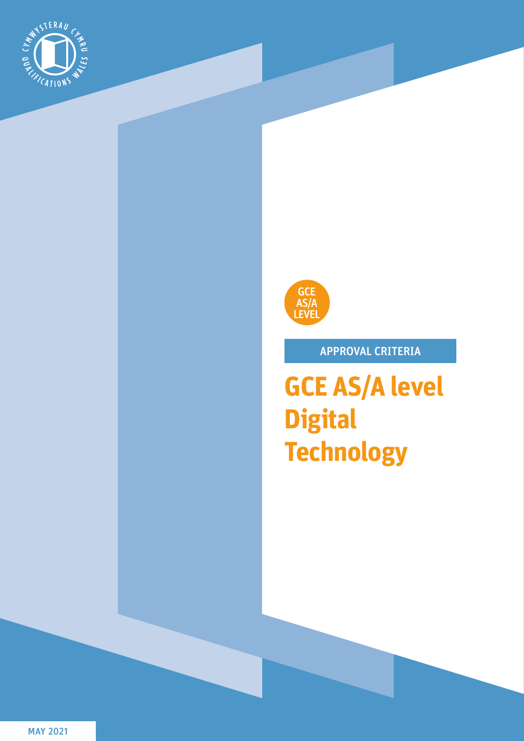



# APPROVAL CRITERIA

**GCE AS/A level Digital Technology**

MAY 2021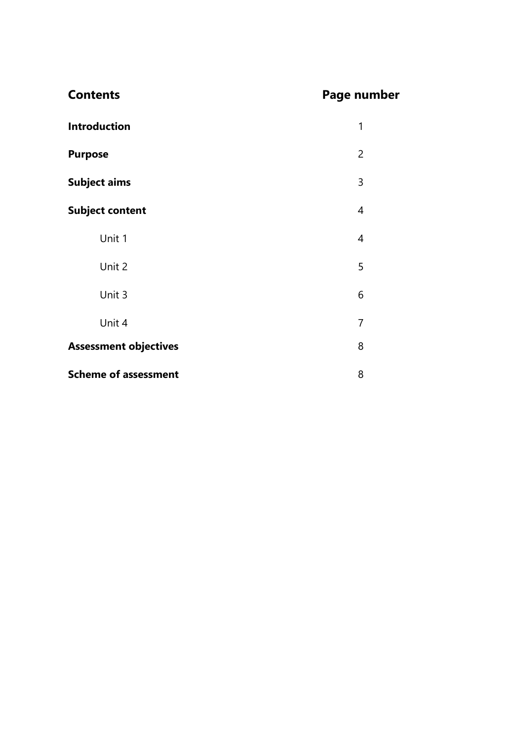| <b>Contents</b>              | <b>Page number</b> |
|------------------------------|--------------------|
| <b>Introduction</b>          | 1                  |
| <b>Purpose</b>               | $\overline{2}$     |
| <b>Subject aims</b>          | 3                  |
| <b>Subject content</b>       | 4                  |
| Unit 1                       | 4                  |
| Unit 2                       | 5                  |
| Unit 3                       | 6                  |
| Unit 4                       | $\overline{7}$     |
| <b>Assessment objectives</b> | 8                  |
| <b>Scheme of assessment</b>  | 8                  |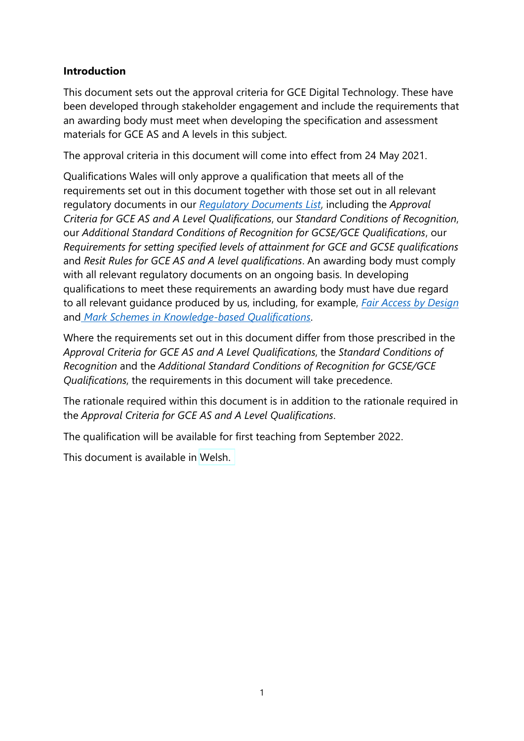#### **Introduction**

This document sets out the approval criteria for GCE Digital Technology. These have been developed through stakeholder engagement and include the requirements that an awarding body must meet when developing the specification and assessment materials for GCE AS and A levels in this subject.

The approval criteria in this document will come into effect from 24 May 2021.

Qualifications Wales will only approve a qualification that meets all of the requirements set out in this document together with those set out in all relevant regulatory documents in our *[Regulatory Documents List](https://www.qualificationswales.org/media/6273/regulatory-documents-list-july-2020.pdf)*, including the *Approval Criteria for GCE AS and A Level Qualifications*, our *Standard Conditions of Recognition*, our *Additional Standard Conditions of Recognition for GCSE/GCE Qualifications*, our *Requirements for setting specified levels of attainment for GCE and GCSE qualifications* and *Resit Rules for GCE AS and A level qualifications*. An awarding body must comply with all relevant regulatory documents on an ongoing basis. In developing qualifications to meet these requirements an awarding body must have due regard to all relevant guidance produced by us, including, for example, *[Fair Access by Design](https://www.qualificationswales.org/media/4739/fair-access-by-design.pdf)* and *[Mark Schemes in Knowledge-based Qualifications](https://www.qualificationswales.org/media/4201/mark-schemes-in-knowledge-based-qualifications.pdf)*.

Where the requirements set out in this document differ from those prescribed in the *Approval Criteria for GCE AS and A Level Qualifications*, the *Standard Conditions of Recognition* and the *Additional Standard Conditions of Recognition for GCSE/GCE Qualifications*, the requirements in this document will take precedence.

The rationale required within this document is in addition to the rationale required in the *Approval Criteria for GCE AS and A Level Qualifications*.

The qualification will be available for first teaching from September 2022.

This document is available in [Welsh.](https://qualificationswales.org/media/7448/gce-digital-technology-approval-criteria-cym.pdf)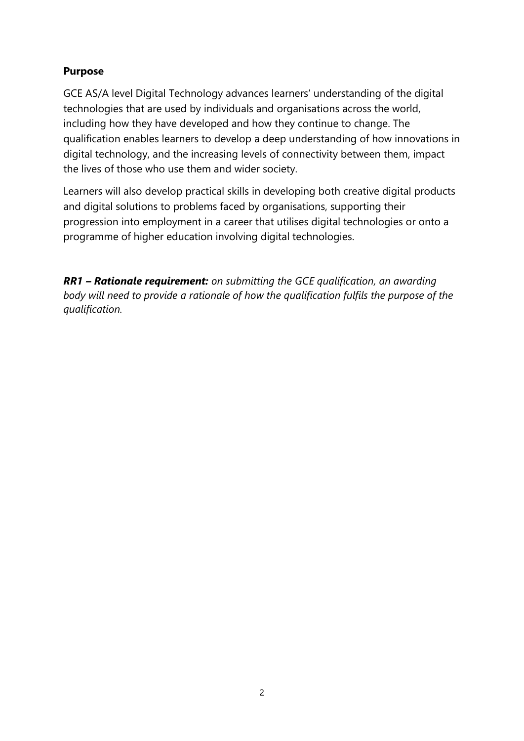## **Purpose**

GCE AS/A level Digital Technology advances learners' understanding of the digital technologies that are used by individuals and organisations across the world, including how they have developed and how they continue to change. The qualification enables learners to develop a deep understanding of how innovations in digital technology, and the increasing levels of connectivity between them, impact the lives of those who use them and wider society.

Learners will also develop practical skills in developing both creative digital products and digital solutions to problems faced by organisations, supporting their progression into employment in a career that utilises digital technologies or onto a programme of higher education involving digital technologies.

*RR1 – Rationale requirement: on submitting the GCE qualification, an awarding body will need to provide a rationale of how the qualification fulfils the purpose of the qualification.*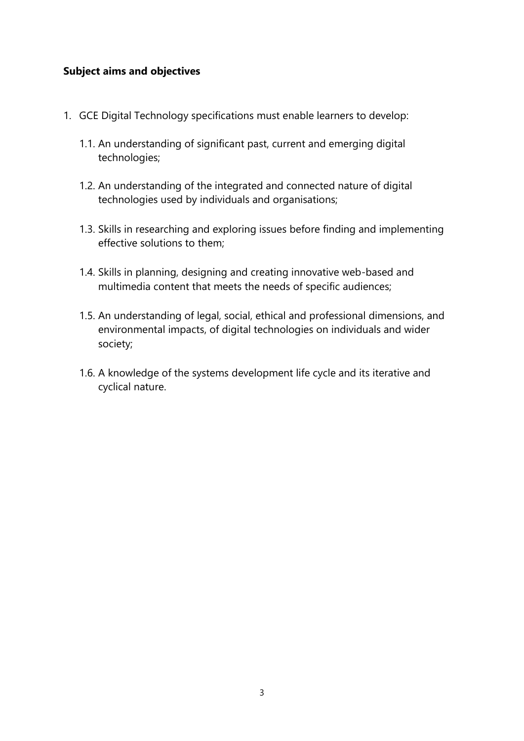#### **Subject aims and objectives**

- 1. GCE Digital Technology specifications must enable learners to develop:
	- 1.1. An understanding of significant past, current and emerging digital technologies;
	- 1.2. An understanding of the integrated and connected nature of digital technologies used by individuals and organisations;
	- 1.3. Skills in researching and exploring issues before finding and implementing effective solutions to them;
	- 1.4. Skills in planning, designing and creating innovative web-based and multimedia content that meets the needs of specific audiences;
	- 1.5. An understanding of legal, social, ethical and professional dimensions, and environmental impacts, of digital technologies on individuals and wider society;
	- 1.6. A knowledge of the systems development life cycle and its iterative and cyclical nature.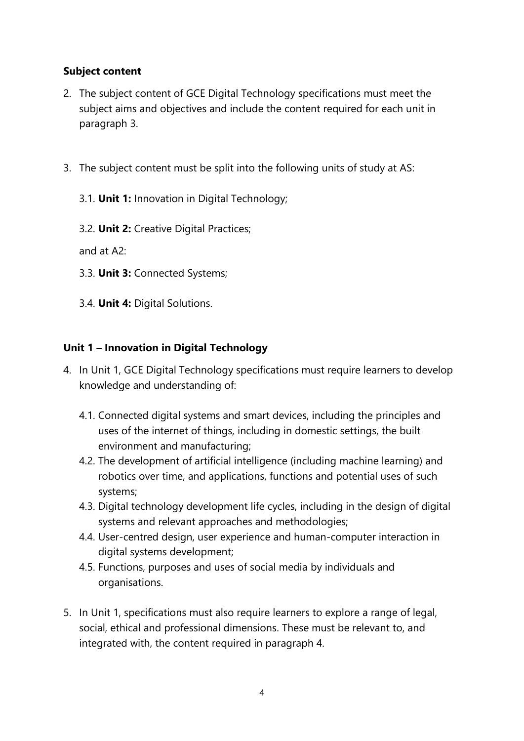## **Subject content**

- 2. The subject content of GCE Digital Technology specifications must meet the subject aims and objectives and include the content required for each unit in paragraph 3.
- 3. The subject content must be split into the following units of study at AS:
	- 3.1. **Unit 1:** Innovation in Digital Technology;
	- 3.2. **Unit 2:** Creative Digital Practices;

and at A2:

- 3.3. **Unit 3:** Connected Systems;
- 3.4. **Unit 4:** Digital Solutions.

# **Unit 1 – Innovation in Digital Technology**

- 4. In Unit 1, GCE Digital Technology specifications must require learners to develop knowledge and understanding of:
	- 4.1. Connected digital systems and smart devices, including the principles and uses of the internet of things, including in domestic settings, the built environment and manufacturing;
	- 4.2. The development of artificial intelligence (including machine learning) and robotics over time, and applications, functions and potential uses of such systems;
	- 4.3. Digital technology development life cycles, including in the design of digital systems and relevant approaches and methodologies;
	- 4.4. User-centred design, user experience and human-computer interaction in digital systems development;
	- 4.5. Functions, purposes and uses of social media by individuals and organisations.
- 5. In Unit 1, specifications must also require learners to explore a range of legal, social, ethical and professional dimensions. These must be relevant to, and integrated with, the content required in paragraph 4.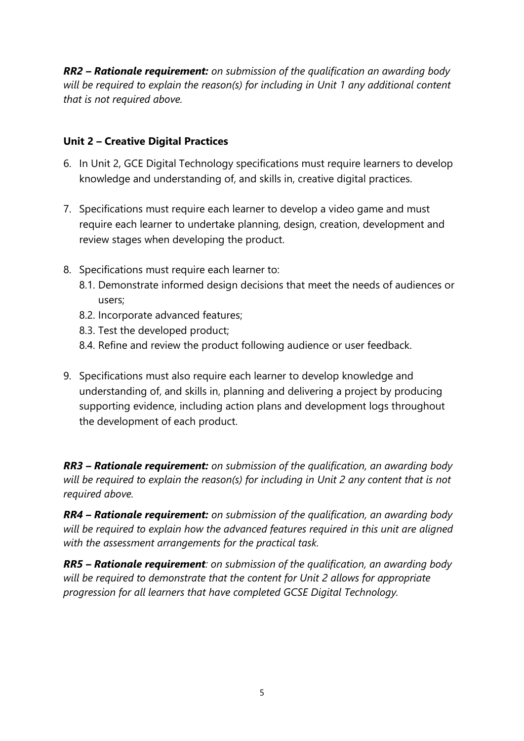*RR2 – Rationale requirement: on submission of the qualification an awarding body will be required to explain the reason(s) for including in Unit 1 any additional content that is not required above.*

## **Unit 2 – Creative Digital Practices**

- 6. In Unit 2, GCE Digital Technology specifications must require learners to develop knowledge and understanding of, and skills in, creative digital practices.
- 7. Specifications must require each learner to develop a video game and must require each learner to undertake planning, design, creation, development and review stages when developing the product.
- 8. Specifications must require each learner to:
	- 8.1. Demonstrate informed design decisions that meet the needs of audiences or users;
	- 8.2. Incorporate advanced features;
	- 8.3. Test the developed product;
	- 8.4. Refine and review the product following audience or user feedback.
- 9. Specifications must also require each learner to develop knowledge and understanding of, and skills in, planning and delivering a project by producing supporting evidence, including action plans and development logs throughout the development of each product.

*RR3 – Rationale requirement: on submission of the qualification, an awarding body will be required to explain the reason(s) for including in Unit 2 any content that is not required above.*

*RR4 – Rationale requirement: on submission of the qualification, an awarding body will be required to explain how the advanced features required in this unit are aligned with the assessment arrangements for the practical task.*

*RR5 – Rationale requirement: on submission of the qualification, an awarding body will be required to demonstrate that the content for Unit 2 allows for appropriate progression for all learners that have completed GCSE Digital Technology.*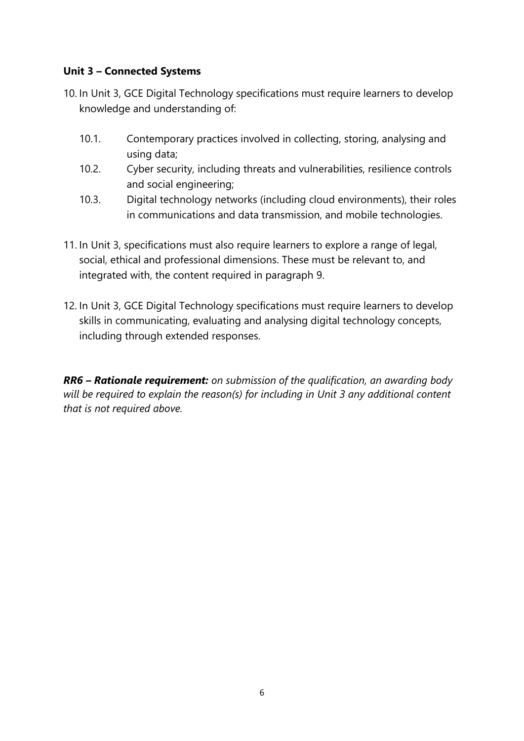#### **Unit 3 – Connected Systems**

- 10. In Unit 3, GCE Digital Technology specifications must require learners to develop knowledge and understanding of:
	- 10.1. Contemporary practices involved in collecting, storing, analysing and using data;
	- 10.2. Cyber security, including threats and vulnerabilities, resilience controls and social engineering;
	- 10.3. Digital technology networks (including cloud environments), their roles in communications and data transmission, and mobile technologies.
- 11. In Unit 3, specifications must also require learners to explore a range of legal, social, ethical and professional dimensions. These must be relevant to, and integrated with, the content required in paragraph 9.
- 12. In Unit 3, GCE Digital Technology specifications must require learners to develop skills in communicating, evaluating and analysing digital technology concepts, including through extended responses.

*RR6 – Rationale requirement: on submission of the qualification, an awarding body will be required to explain the reason(s) for including in Unit 3 any additional content that is not required above.*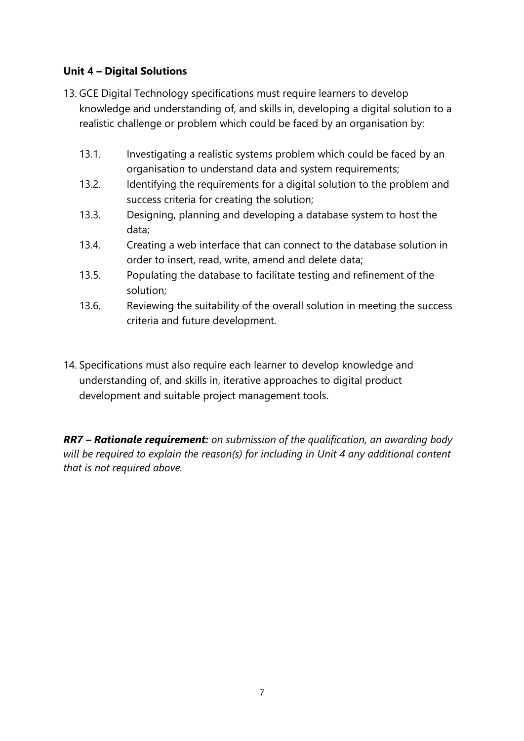## **Unit 4 – Digital Solutions**

- 13. GCE Digital Technology specifications must require learners to develop knowledge and understanding of, and skills in, developing a digital solution to a realistic challenge or problem which could be faced by an organisation by:
	- 13.1. Investigating a realistic systems problem which could be faced by an organisation to understand data and system requirements;
	- 13.2. Identifying the requirements for a digital solution to the problem and success criteria for creating the solution;
	- 13.3. Designing, planning and developing a database system to host the data;
	- 13.4. Creating a web interface that can connect to the database solution in order to insert, read, write, amend and delete data;
	- 13.5. Populating the database to facilitate testing and refinement of the solution;
	- 13.6. Reviewing the suitability of the overall solution in meeting the success criteria and future development.
- 14. Specifications must also require each learner to develop knowledge and understanding of, and skills in, iterative approaches to digital product development and suitable project management tools.

*RR7 – Rationale requirement: on submission of the qualification, an awarding body will be required to explain the reason(s) for including in Unit 4 any additional content that is not required above.*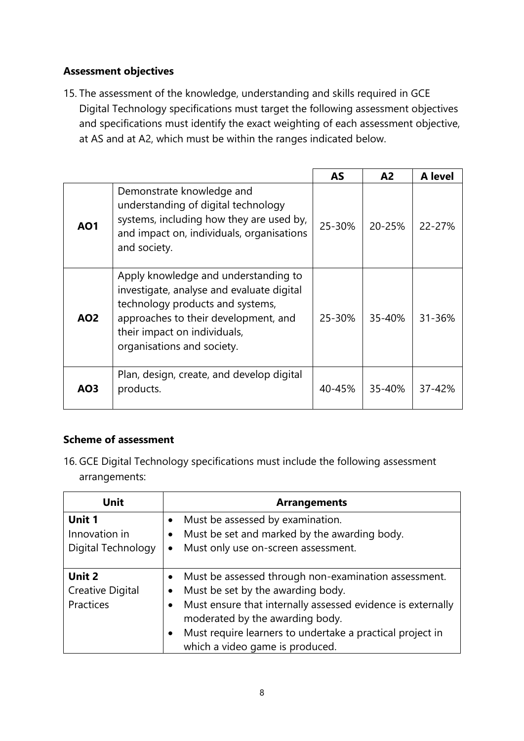#### **Assessment objectives**

15. The assessment of the knowledge, understanding and skills required in GCE Digital Technology specifications must target the following assessment objectives and specifications must identify the exact weighting of each assessment objective, at AS and at A2, which must be within the ranges indicated below.

|            |                                                                                                                                                                                                                             | <b>AS</b> | A <sub>2</sub> | A level |
|------------|-----------------------------------------------------------------------------------------------------------------------------------------------------------------------------------------------------------------------------|-----------|----------------|---------|
| <b>AO1</b> | Demonstrate knowledge and<br>understanding of digital technology<br>systems, including how they are used by,<br>and impact on, individuals, organisations<br>and society.                                                   | 25-30%    | 20-25%         | 22-27%  |
| <b>AO2</b> | Apply knowledge and understanding to<br>investigate, analyse and evaluate digital<br>technology products and systems,<br>approaches to their development, and<br>their impact on individuals,<br>organisations and society. | 25-30%    | 35-40%         | 31-36%  |
| AO3        | Plan, design, create, and develop digital<br>products.                                                                                                                                                                      | 40-45%    | 35-40%         | 37-42%  |

# **Scheme of assessment**

16. GCE Digital Technology specifications must include the following assessment arrangements:

| Unit               | <b>Arrangements</b>                                         |
|--------------------|-------------------------------------------------------------|
| Unit 1             | Must be assessed by examination.                            |
| Innovation in      | Must be set and marked by the awarding body.                |
| Digital Technology | Must only use on-screen assessment.<br>$\bullet$            |
|                    |                                                             |
| Unit 2             | Must be assessed through non-examination assessment.        |
| Creative Digital   | Must be set by the awarding body.                           |
| Practices          | Must ensure that internally assessed evidence is externally |
|                    | moderated by the awarding body.                             |
|                    | Must require learners to undertake a practical project in   |
|                    | which a video game is produced.                             |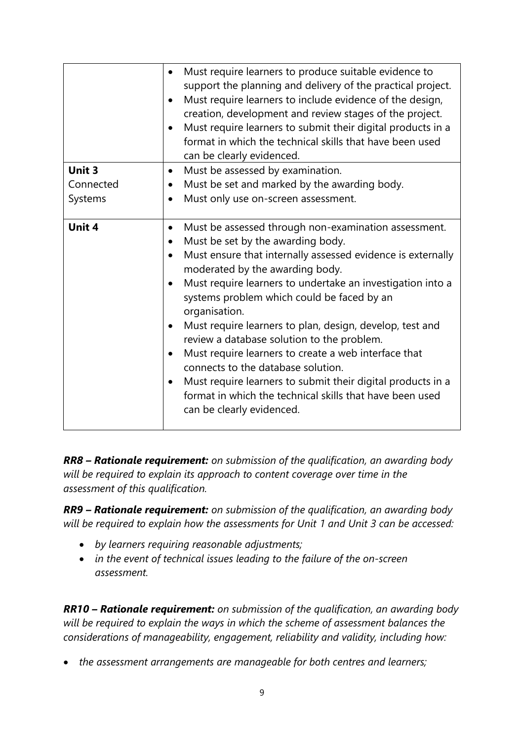|               | Must require learners to produce suitable evidence to<br>support the planning and delivery of the practical project.<br>Must require learners to include evidence of the design,<br>creation, development and review stages of the project.<br>Must require learners to submit their digital products in a<br>format in which the technical skills that have been used<br>can be clearly evidenced.                                                                                                                                                                                                                                                                                                                |
|---------------|--------------------------------------------------------------------------------------------------------------------------------------------------------------------------------------------------------------------------------------------------------------------------------------------------------------------------------------------------------------------------------------------------------------------------------------------------------------------------------------------------------------------------------------------------------------------------------------------------------------------------------------------------------------------------------------------------------------------|
| <b>Unit 3</b> | Must be assessed by examination.<br>$\bullet$                                                                                                                                                                                                                                                                                                                                                                                                                                                                                                                                                                                                                                                                      |
| Connected     | Must be set and marked by the awarding body.<br>$\bullet$                                                                                                                                                                                                                                                                                                                                                                                                                                                                                                                                                                                                                                                          |
| Systems       | Must only use on-screen assessment.<br>$\bullet$                                                                                                                                                                                                                                                                                                                                                                                                                                                                                                                                                                                                                                                                   |
| Unit 4        | Must be assessed through non-examination assessment.<br>$\bullet$<br>Must be set by the awarding body.<br>$\bullet$<br>Must ensure that internally assessed evidence is externally<br>moderated by the awarding body.<br>Must require learners to undertake an investigation into a<br>systems problem which could be faced by an<br>organisation.<br>Must require learners to plan, design, develop, test and<br>review a database solution to the problem.<br>Must require learners to create a web interface that<br>connects to the database solution.<br>Must require learners to submit their digital products in a<br>format in which the technical skills that have been used<br>can be clearly evidenced. |

*RR8 – Rationale requirement: on submission of the qualification, an awarding body will be required to explain its approach to content coverage over time in the assessment of this qualification.* 

*RR9 – Rationale requirement: on submission of the qualification, an awarding body will be required to explain how the assessments for Unit 1 and Unit 3 can be accessed:*

- *by learners requiring reasonable adjustments;*
- *in the event of technical issues leading to the failure of the on-screen assessment.*

*RR10 – Rationale requirement: on submission of the qualification, an awarding body will be required to explain the ways in which the scheme of assessment balances the considerations of manageability, engagement, reliability and validity, including how:*

• *the assessment arrangements are manageable for both centres and learners;*